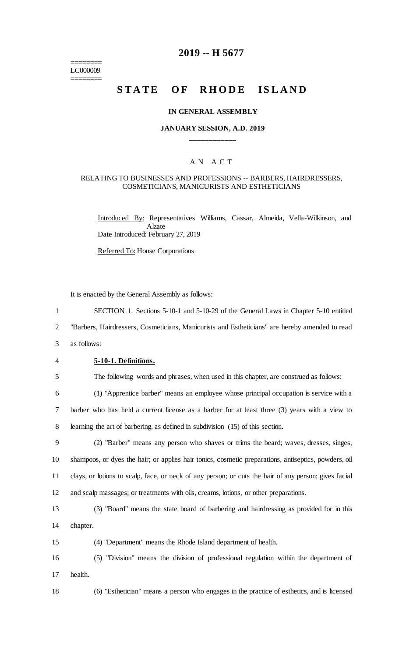======== LC000009 ========

# **2019 -- H 5677**

# **STATE OF RHODE ISLAND**

#### **IN GENERAL ASSEMBLY**

# **JANUARY SESSION, A.D. 2019 \_\_\_\_\_\_\_\_\_\_\_\_**

# A N A C T

#### RELATING TO BUSINESSES AND PROFESSIONS -- BARBERS, HAIRDRESSERS, COSMETICIANS, MANICURISTS AND ESTHETICIANS

Introduced By: Representatives Williams, Cassar, Almeida, Vella-Wilkinson, and Alzate Date Introduced: February 27, 2019

Referred To: House Corporations

It is enacted by the General Assembly as follows:

1 SECTION 1. Sections 5-10-1 and 5-10-29 of the General Laws in Chapter 5-10 entitled

2 "Barbers, Hairdressers, Cosmeticians, Manicurists and Estheticians" are hereby amended to read

- 3 as follows:
- 

#### 4 **5-10-1. Definitions.**

5 The following words and phrases, when used in this chapter, are construed as follows:

6 (1) "Apprentice barber" means an employee whose principal occupation is service with a 7 barber who has held a current license as a barber for at least three (3) years with a view to 8 learning the art of barbering, as defined in subdivision (15) of this section.

 (2) "Barber" means any person who shaves or trims the beard; waves, dresses, singes, shampoos, or dyes the hair; or applies hair tonics, cosmetic preparations, antiseptics, powders, oil clays, or lotions to scalp, face, or neck of any person; or cuts the hair of any person; gives facial and scalp massages; or treatments with oils, creams, lotions, or other preparations.

13 (3) "Board" means the state board of barbering and hairdressing as provided for in this 14 chapter.

15 (4) "Department" means the Rhode Island department of health.

16 (5) "Division" means the division of professional regulation within the department of 17 health.

18 (6) "Esthetician" means a person who engages in the practice of esthetics, and is licensed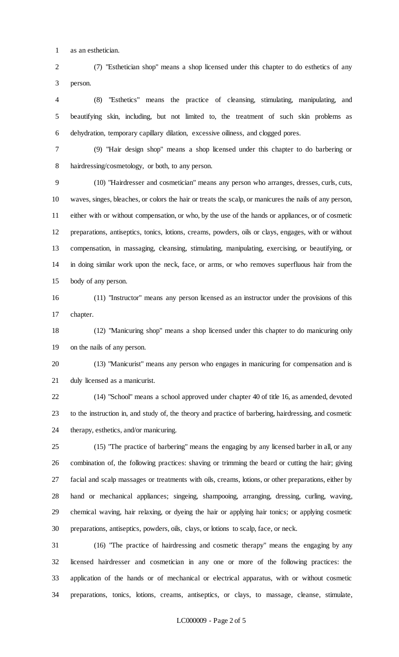as an esthetician.

 (7) "Esthetician shop" means a shop licensed under this chapter to do esthetics of any person.

 (8) "Esthetics" means the practice of cleansing, stimulating, manipulating, and beautifying skin, including, but not limited to, the treatment of such skin problems as dehydration, temporary capillary dilation, excessive oiliness, and clogged pores.

 (9) "Hair design shop" means a shop licensed under this chapter to do barbering or hairdressing/cosmetology, or both, to any person.

 (10) "Hairdresser and cosmetician" means any person who arranges, dresses, curls, cuts, waves, singes, bleaches, or colors the hair or treats the scalp, or manicures the nails of any person, either with or without compensation, or who, by the use of the hands or appliances, or of cosmetic preparations, antiseptics, tonics, lotions, creams, powders, oils or clays, engages, with or without compensation, in massaging, cleansing, stimulating, manipulating, exercising, or beautifying, or in doing similar work upon the neck, face, or arms, or who removes superfluous hair from the body of any person.

 (11) "Instructor" means any person licensed as an instructor under the provisions of this chapter.

 (12) "Manicuring shop" means a shop licensed under this chapter to do manicuring only on the nails of any person.

 (13) "Manicurist" means any person who engages in manicuring for compensation and is duly licensed as a manicurist.

 (14) "School" means a school approved under chapter 40 of title 16, as amended, devoted to the instruction in, and study of, the theory and practice of barbering, hairdressing, and cosmetic therapy, esthetics, and/or manicuring.

 (15) "The practice of barbering" means the engaging by any licensed barber in all, or any combination of, the following practices: shaving or trimming the beard or cutting the hair; giving facial and scalp massages or treatments with oils, creams, lotions, or other preparations, either by hand or mechanical appliances; singeing, shampooing, arranging, dressing, curling, waving, chemical waving, hair relaxing, or dyeing the hair or applying hair tonics; or applying cosmetic preparations, antiseptics, powders, oils, clays, or lotions to scalp, face, or neck.

 (16) "The practice of hairdressing and cosmetic therapy" means the engaging by any licensed hairdresser and cosmetician in any one or more of the following practices: the application of the hands or of mechanical or electrical apparatus, with or without cosmetic preparations, tonics, lotions, creams, antiseptics, or clays, to massage, cleanse, stimulate,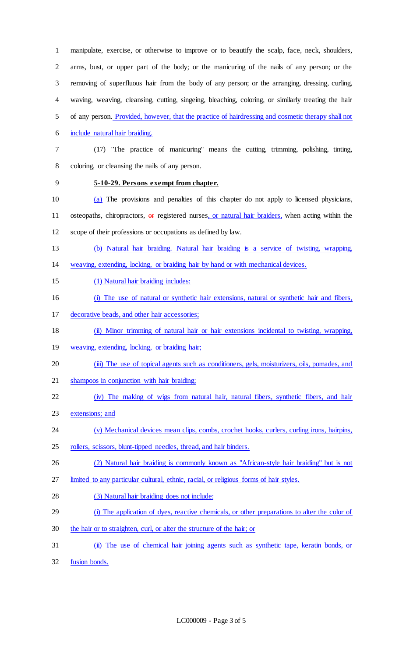manipulate, exercise, or otherwise to improve or to beautify the scalp, face, neck, shoulders, arms, bust, or upper part of the body; or the manicuring of the nails of any person; or the removing of superfluous hair from the body of any person; or the arranging, dressing, curling, waving, weaving, cleansing, cutting, singeing, bleaching, coloring, or similarly treating the hair of any person. Provided, however, that the practice of hairdressing and cosmetic therapy shall not include natural hair braiding. (17) "The practice of manicuring" means the cutting, trimming, polishing, tinting, coloring, or cleansing the nails of any person. **5-10-29. Persons exempt from chapter.** (a) The provisions and penalties of this chapter do not apply to licensed physicians, 11 osteopaths, chiropractors, or registered nurses, or natural hair braiders, when acting within the scope of their professions or occupations as defined by law. (b) Natural hair braiding. Natural hair braiding is a service of twisting, wrapping, weaving, extending, locking, or braiding hair by hand or with mechanical devices. (1) Natural hair braiding includes: (i) The use of natural or synthetic hair extensions, natural or synthetic hair and fibers, decorative beads, and other hair accessories; (ii) Minor trimming of natural hair or hair extensions incidental to twisting, wrapping, weaving, extending, locking, or braiding hair; (iii) The use of topical agents such as conditioners, gels, moisturizers, oils, pomades, and shampoos in conjunction with hair braiding; (iv) The making of wigs from natural hair, natural fibers, synthetic fibers, and hair

- extensions; and
- (v) Mechanical devices mean clips, combs, crochet hooks, curlers, curling irons, hairpins,
- rollers, scissors, blunt-tipped needles, thread, and hair binders.
- (2) Natural hair braiding is commonly known as "African-style hair braiding" but is not
- limited to any particular cultural, ethnic, racial, or religious forms of hair styles.
- (3) Natural hair braiding does not include:
- (i) The application of dyes, reactive chemicals, or other preparations to alter the color of
- the hair or to straighten, curl, or alter the structure of the hair; or
- (ii) The use of chemical hair joining agents such as synthetic tape, keratin bonds, or
- fusion bonds.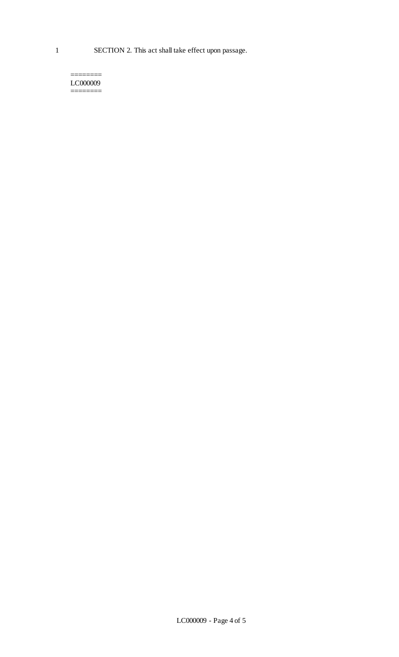======== LC000009 ========